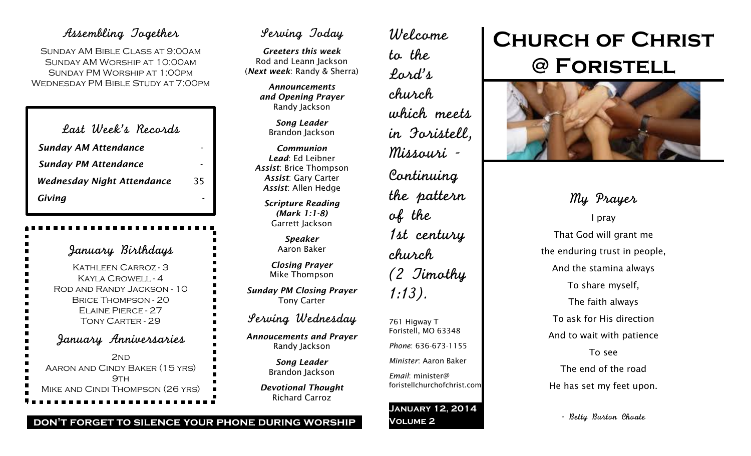### Assembling Together

Sunday AM Bible Class at 9:00am Sunday AM Worship at 10:00am Sunday PM Worship at 1:00pm Wednesday PM Bible Study at 7:00pm

| Last Week's Records               |    |
|-----------------------------------|----|
| <b>Sunday AM Attendance</b>       |    |
| <b>Sunday PM Attendance</b>       |    |
| <b>Wednesday Night Attendance</b> | 35 |
| Giving                            |    |

January Birthdays Kathleen Carroz - 3 Kayla Crowell - 4 Rod and Randy Jackson - 10 Brice Thompson - 20 Elaine Pierce - 27 Tony Carter - 29 January Anniversaries 2<sub>ND</sub> Aaron and Cindy Baker (15 yrs)  $9TH$ Mike and Cindi Thompson (26 yrs)

## Serving Today

*Greeters this week* Rod and Leann Jackson (*Next week*: Randy & Sherra)

> *Announcements and Opening Prayer* Randy Jackson

> > *Song Leader* Brandon Jackson

*Communion Lead*: Ed Leibner *Assist*: Brice Thompson *Assist*: Gary Carter *Assist*: Allen Hedge

> *Scripture Reading (Mark 1:1-8)* Garrett Jackson

> > *Speaker* Aaron Baker

*Closing Prayer* Mike Thompson

*Sunday PM Closing Prayer* Tony Carter

Serving Wednesday

*Annoucements and Prayer* Randy Jackson

> *Song Leader* Brandon Jackson

*Devotional Thought* Richard Carroz

Welcome to the Lord's church which meets in Foristell, Missouri - Continuing the pattern of the 1st century church (2 Timothy 1:13). 761 Higway T

Foristell, MO 63348 *Phone*: 636-673-1155 *Minister*: Aaron Baker *Email*: minister@

foristellchurchofchrist.com

#### **January 12, 2014 Volume 2**

# **Church of Christ @ Foristell**



My Prayer I pray That God will grant me the enduring trust in people, And the stamina always To share myself, The faith always To ask for His direction And to wait with patience To see The end of the road He has set my feet upon.

- Betty Burton Choate

#### **don't forget to silence your phone during worship**